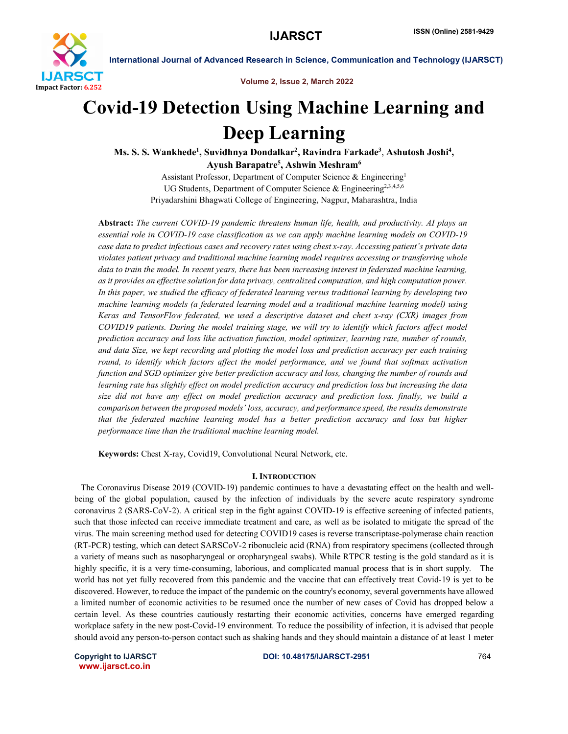

Volume 2, Issue 2, March 2022

# Covid-19 Detection Using Machine Learning and Deep Learning

Ms. S. S. Wankhede<sup>1</sup>, Suvidhnya Dondalkar<sup>2</sup>, Ravindra Farkade<sup>3</sup>, Ashutosh Joshi<sup>4</sup>, Ayush Barapatre<sup>5</sup>, Ashwin Meshram<sup>6</sup>

> Assistant Professor, Department of Computer Science & Engineering1 UG Students, Department of Computer Science & Engineering<sup>2,3,4,5,6</sup> Priyadarshini Bhagwati College of Engineering, Nagpur, Maharashtra, India

Abstract: *The current COVID-19 pandemic threatens human life, health, and productivity. AI plays an essential role in COVID-19 case classification as we can apply machine learning models on COVID-19 case data to predict infectious cases and recovery rates using chest x-ray. Accessing patient's private data violates patient privacy and traditional machine learning model requires accessing or transferring whole data to train the model. In recent years, there has been increasing interest in federated machine learning, as it provides an effective solution for data privacy, centralized computation, and high computation power. In this paper, we studied the efficacy of federated learning versus traditional learning by developing two machine learning models (a federated learning model and a traditional machine learning model) using Keras and TensorFlow federated, we used a descriptive dataset and chest x-ray (CXR) images from COVID19 patients. During the model training stage, we will try to identify which factors affect model prediction accuracy and loss like activation function, model optimizer, learning rate, number of rounds, and data Size, we kept recording and plotting the model loss and prediction accuracy per each training round, to identify which factors affect the model performance, and we found that softmax activation function and SGD optimizer give better prediction accuracy and loss, changing the number of rounds and learning rate has slightly effect on model prediction accuracy and prediction loss but increasing the data size did not have any effect on model prediction accuracy and prediction loss. finally, we build a comparison between the proposed models' loss, accuracy, and performance speed, the results demonstrate that the federated machine learning model has a better prediction accuracy and loss but higher performance time than the traditional machine learning model.*

Keywords: Chest X-ray, Covid19, Convolutional Neural Network, etc.

### I. INTRODUCTION

 The Coronavirus Disease 2019 (COVID-19) pandemic continues to have a devastating effect on the health and wellbeing of the global population, caused by the infection of individuals by the severe acute respiratory syndrome coronavirus 2 (SARS-CoV-2). A critical step in the fight against COVID-19 is effective screening of infected patients, such that those infected can receive immediate treatment and care, as well as be isolated to mitigate the spread of the virus. The main screening method used for detecting COVID19 cases is reverse transcriptase-polymerase chain reaction (RT-PCR) testing, which can detect SARSCoV-2 ribonucleic acid (RNA) from respiratory specimens (collected through a variety of means such as nasopharyngeal or oropharyngeal swabs). While RTPCR testing is the gold standard as it is highly specific, it is a very time-consuming, laborious, and complicated manual process that is in short supply. The world has not yet fully recovered from this pandemic and the vaccine that can effectively treat Covid-19 is yet to be discovered. However, to reduce the impact of the pandemic on the country's economy, several governments have allowed a limited number of economic activities to be resumed once the number of new cases of Covid has dropped below a certain level. As these countries cautiously restarting their economic activities, concerns have emerged regarding workplace safety in the new post-Covid-19 environment. To reduce the possibility of infection, it is advised that people should avoid any person-to-person contact such as shaking hands and they should maintain a distance of at least 1 meter

www.ijarsct.co.in

Copyright to IJARSCT **DOI: 10.48175/IJARSCT-2951** 764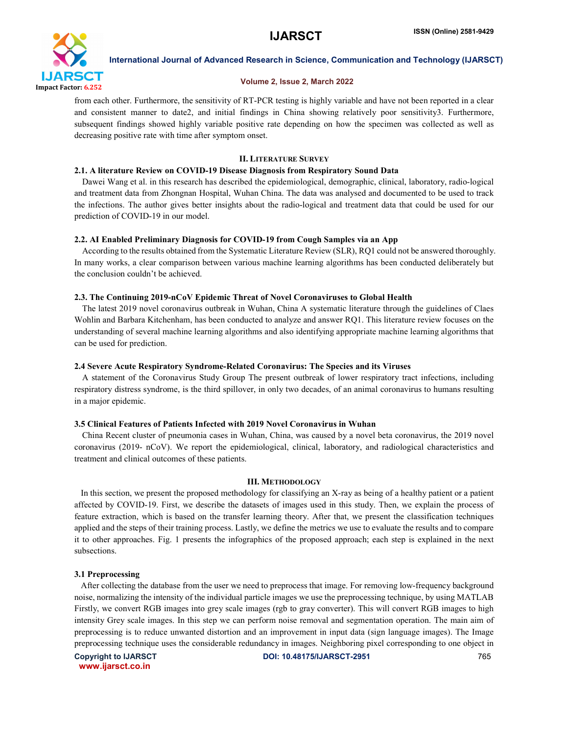

#### Volume 2, Issue 2, March 2022

from each other. Furthermore, the sensitivity of RT-PCR testing is highly variable and have not been reported in a clear and consistent manner to date2, and initial findings in China showing relatively poor sensitivity3. Furthermore, subsequent findings showed highly variable positive rate depending on how the specimen was collected as well as decreasing positive rate with time after symptom onset.

#### II. LITERATURE SURVEY

#### 2.1. A literature Review on COVID-19 Disease Diagnosis from Respiratory Sound Data

 Dawei Wang et al. in this research has described the epidemiological, demographic, clinical, laboratory, radio-logical and treatment data from Zhongnan Hospital, Wuhan China. The data was analysed and documented to be used to track the infections. The author gives better insights about the radio-logical and treatment data that could be used for our prediction of COVID-19 in our model.

#### 2.2. AI Enabled Preliminary Diagnosis for COVID-19 from Cough Samples via an App

 According to the results obtained from the Systematic Literature Review (SLR), RQ1 could not be answered thoroughly. In many works, a clear comparison between various machine learning algorithms has been conducted deliberately but the conclusion couldn't be achieved.

#### 2.3. The Continuing 2019-nCoV Epidemic Threat of Novel Coronaviruses to Global Health

 The latest 2019 novel coronavirus outbreak in Wuhan, China A systematic literature through the guidelines of Claes Wohlin and Barbara Kitchenham, has been conducted to analyze and answer RQ1. This literature review focuses on the understanding of several machine learning algorithms and also identifying appropriate machine learning algorithms that can be used for prediction.

#### 2.4 Severe Acute Respiratory Syndrome-Related Coronavirus: The Species and its Viruses

 A statement of the Coronavirus Study Group The present outbreak of lower respiratory tract infections, including respiratory distress syndrome, is the third spillover, in only two decades, of an animal coronavirus to humans resulting in a major epidemic.

#### 3.5 Clinical Features of Patients Infected with 2019 Novel Coronavirus in Wuhan

 China Recent cluster of pneumonia cases in Wuhan, China, was caused by a novel beta coronavirus, the 2019 novel coronavirus (2019- nCoV). We report the epidemiological, clinical, laboratory, and radiological characteristics and treatment and clinical outcomes of these patients.

#### III. METHODOLOGY

 In this section, we present the proposed methodology for classifying an X-ray as being of a healthy patient or a patient affected by COVID-19. First, we describe the datasets of images used in this study. Then, we explain the process of feature extraction, which is based on the transfer learning theory. After that, we present the classification techniques applied and the steps of their training process. Lastly, we define the metrics we use to evaluate the results and to compare it to other approaches. Fig. 1 presents the infographics of the proposed approach; each step is explained in the next subsections.

#### 3.1 Preprocessing

 After collecting the database from the user we need to preprocess that image. For removing low-frequency background noise, normalizing the intensity of the individual particle images we use the preprocessing technique, by using MATLAB Firstly, we convert RGB images into grey scale images (rgb to gray converter). This will convert RGB images to high intensity Grey scale images. In this step we can perform noise removal and segmentation operation. The main aim of preprocessing is to reduce unwanted distortion and an improvement in input data (sign language images). The Image preprocessing technique uses the considerable redundancy in images. Neighboring pixel corresponding to one object in

www.ijarsct.co.in

Copyright to IJARSCT DOI: 10.48175/IJARSCT-2951 765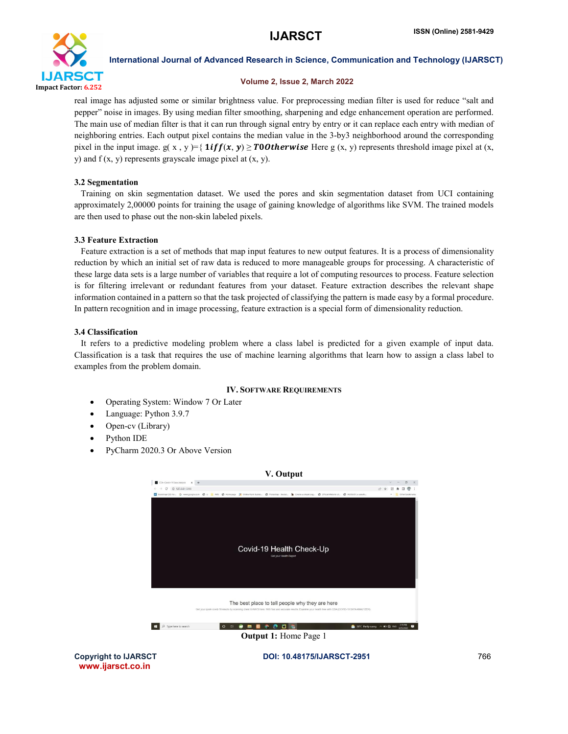

#### Volume 2, Issue 2, March 2022

real image has adjusted some or similar brightness value. For preprocessing median filter is used for reduce "salt and pepper" noise in images. By using median filter smoothing, sharpening and edge enhancement operation are performed. The main use of median filter is that it can run through signal entry by entry or it can replace each entry with median of neighboring entries. Each output pixel contains the median value in the 3-by3 neighborhood around the corresponding pixel in the input image.  $g(x, y) = \{ \text{lift}(x, y) \ge \text{TOOtherwise} \text{ Here } g(x, y) \text{ represents threshold image pixel at } (x, y) \}$ y) and  $f(x, y)$  represents grayscale image pixel at  $(x, y)$ .

#### 3.2 Segmentation

 Training on skin segmentation dataset. We used the pores and skin segmentation dataset from UCI containing approximately 2,00000 points for training the usage of gaining knowledge of algorithms like SVM. The trained models are then used to phase out the non-skin labeled pixels.

#### 3.3 Feature Extraction

 Feature extraction is a set of methods that map input features to new output features. It is a process of dimensionality reduction by which an initial set of raw data is reduced to more manageable groups for processing. A characteristic of these large data sets is a large number of variables that require a lot of computing resources to process. Feature selection is for filtering irrelevant or redundant features from your dataset. Feature extraction describes the relevant shape information contained in a pattern so that the task projected of classifying the pattern is made easy by a formal procedure. In pattern recognition and in image processing, feature extraction is a special form of dimensionality reduction.

#### 3.4 Classification

 It refers to a predictive modeling problem where a class label is predicted for a given example of input data. Classification is a task that requires the use of machine learning algorithms that learn how to assign a class label to examples from the problem domain.

#### IV. SOFTWARE REQUIREMENTS

- Operating System: Window 7 Or Later
- Language: Python 3.9.7
- Open-cv (Library)
- Python IDE
- PyCharm 2020.3 Or Above Version



www.ijarsct.co.in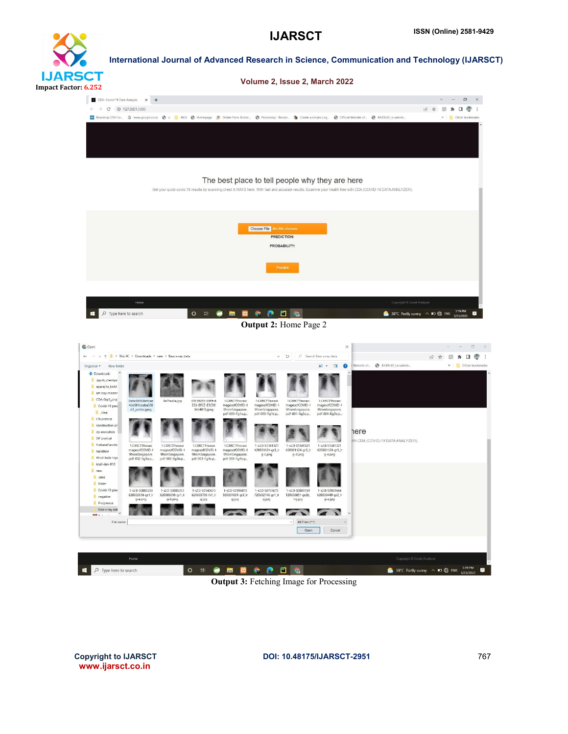# **IJARSCT** Impact Factor: 6.252

International Journal of Advanced Research in Science, Communication and Technology (IJARSCT)



#### The best place to tell people why they are here

Get your quick covid-19 results by scanning chest X-RAYS here. With fast and accurate results. Examine your health free with CDA (COVID-19 DATA ANALYZER).



Output 2: Home Page 2



Output 3: Fetching Image for Processing

www.ijarsct.co.in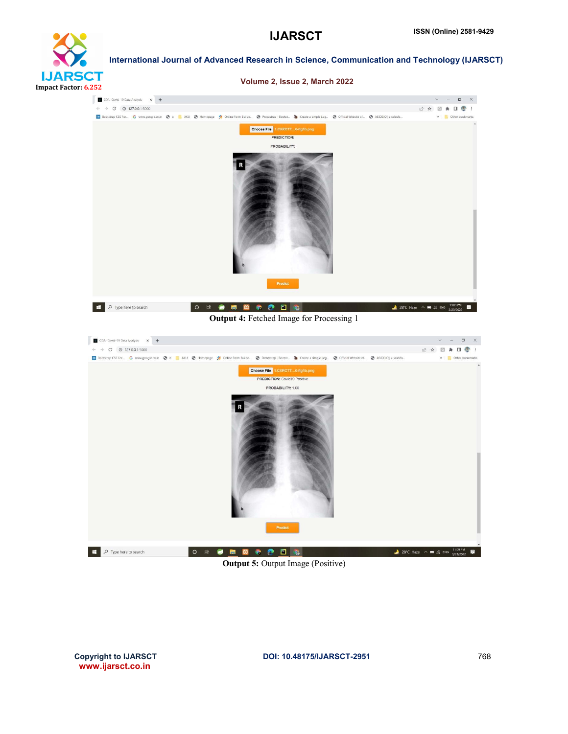



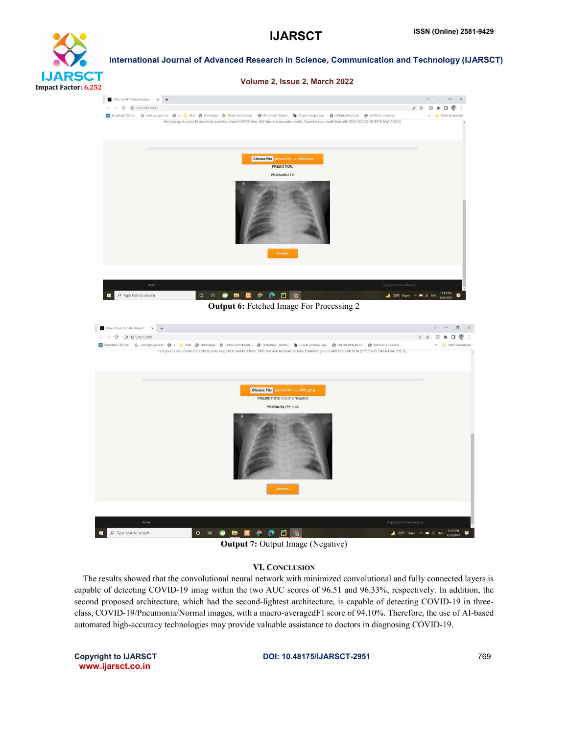## **IJARS etit** Impact Factor: 6.252

International Journal of Advanced Research in Science, Communication and Technology (IJARSCT)

#### Volume 2, Issue 2, March 2022





#### Output 7: Output Image (Negative)

#### VI. CONCLUSION

 The results showed that the convolutional neural network with minimized convolutional and fully connected layers is capable of detecting COVID-19 imag within the two AUC scores of 96.51 and 96.33%, respectively. In addition, the second proposed architecture, which had the second-lightest architecture, is capable of detecting COVID-19 in threeclass, COVID-19/Pneumonia/Normal images, with a macro-averagedF1 score of 94.10%. Therefore, the use of AI-based automated high-accuracy technologies may provide valuable assistance to doctors in diagnosing COVID-19.

www.ijarsct.co.in